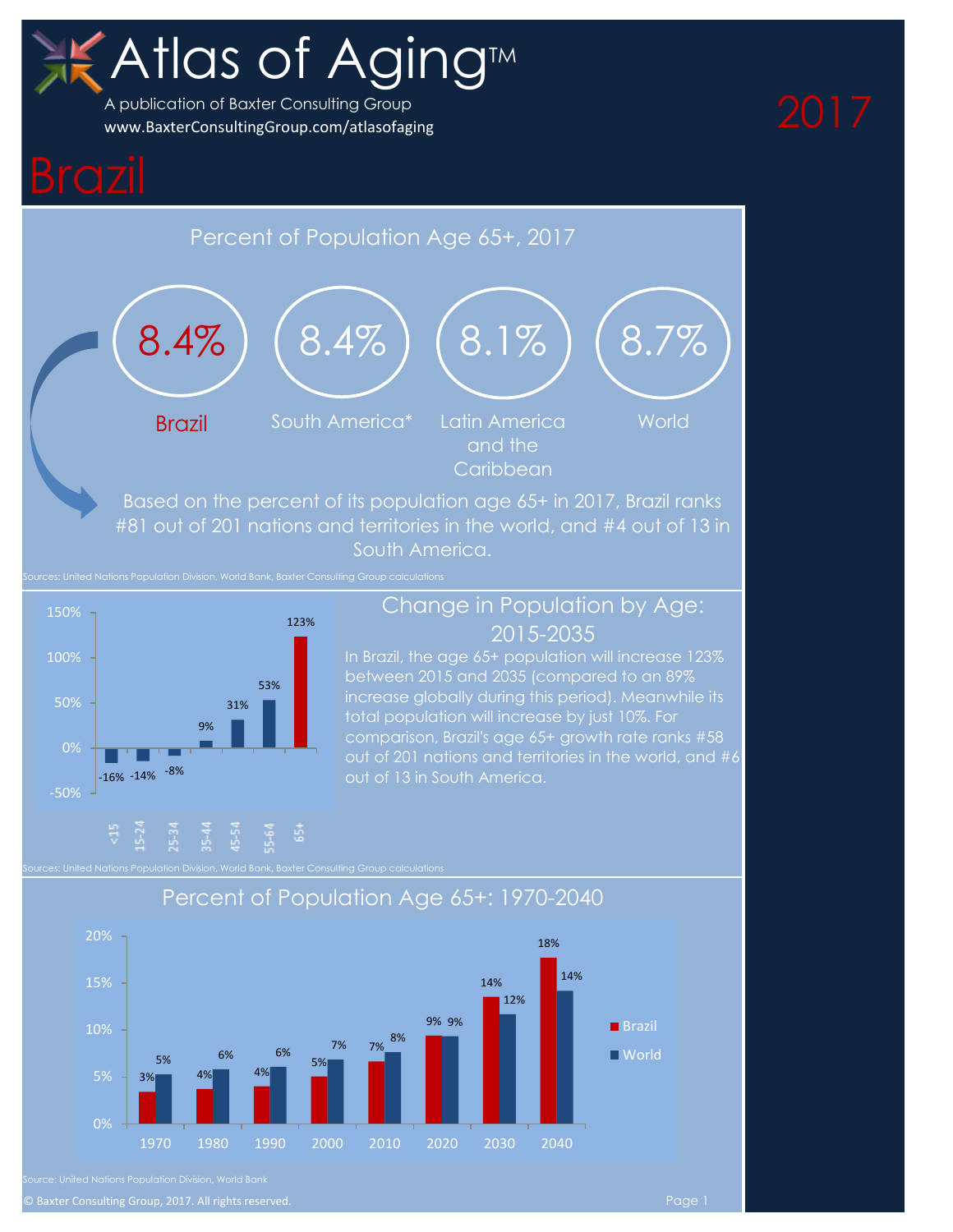# Atlas of Aging<sup>M</sup>

A publication of Baxter Consulting Group [www.BaxterConsultingGroup.com/atlasofaging](http://www.baxterconsultinggroup.com/AtlasofAging)

# Percent of Population Age 65+, 2017



Based on the percent of its population age 65+ in 2017, Brazil ranks #81 out of 201 nations and territories in the world, and #4 out of 13 in South America.

Sources: United Nations Population Division, World Bank, Baxter Consulting Group calculations



### Change in Population by Age: 2015-2035

In Brazil, the age 65+ population will increase 123% between 2015 and 2035 (compared to an 89% increase globally during this period). Meanwhile its total population will increase by just 10%. For comparison, Brazil's age 65+ growth rate ranks #58



### Percent of Population Age 65+: 1970-2040

© Baxter Consulting Group, 2017. All rights reserved. Page 1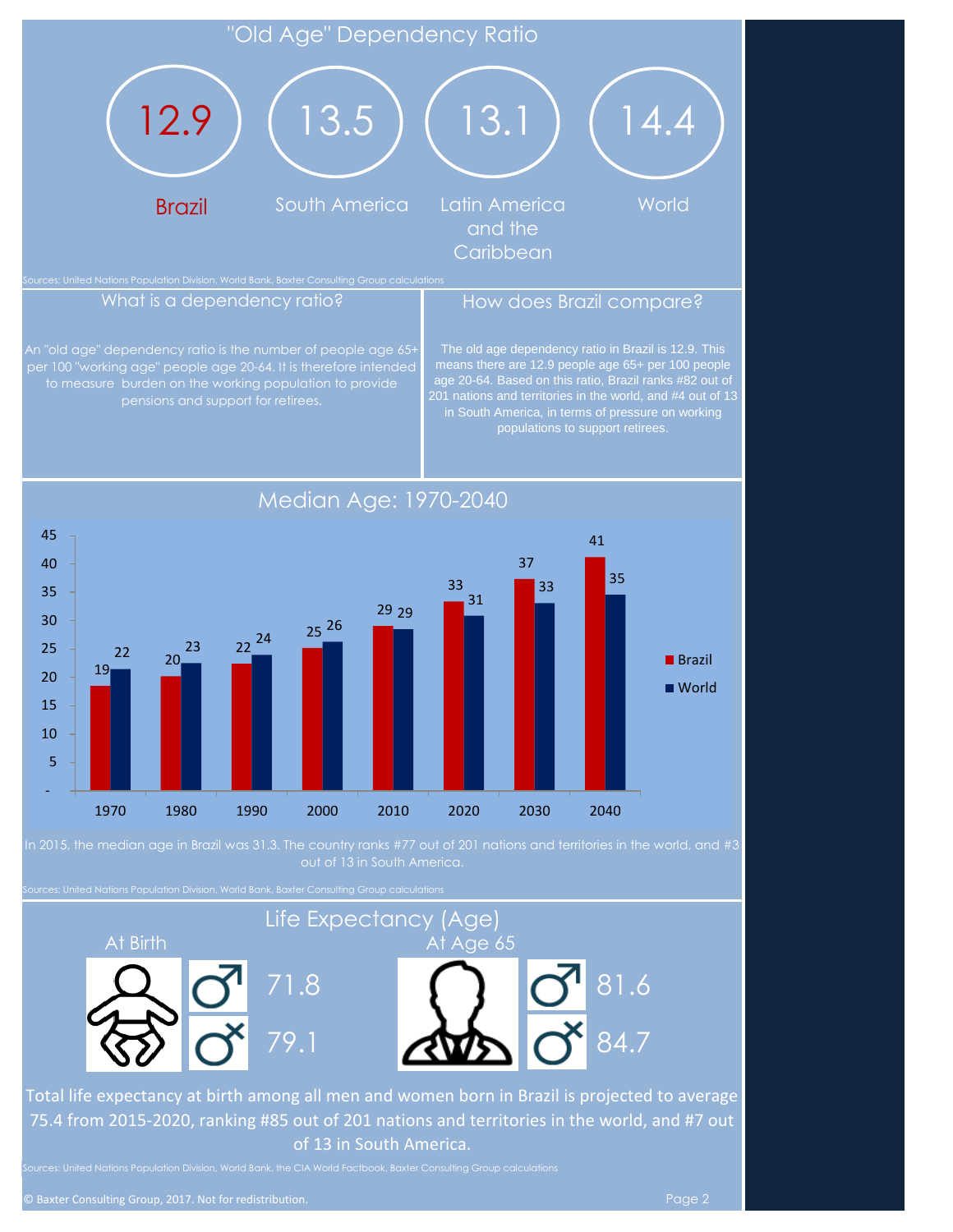

per 100 "working age" people age 20-64. It is therefore intended The old age dependency ratio in Brazil is 12.9. This means there are 12.9 people age 65+ per 100 people age 20-64. Based on this ratio, Brazil ranks #82 out of populations to support retirees.

 $\begin{array}{@{}c@{\hspace{1em}}c@{\hspace{1em}}}\n 22 & 20 \\
\hline\n 19 & 20\n \end{array}$ 22  $2^2$   $2^2$ 25 26 29 29 33 37 41 31  $33$  35 - 5 10 15 20 25 30 35 40 45 1970 1980 1990 2000 2010 2020 2030 2040 ■ Brazil ■ World

n 2015, the median age in Brazil was 31.3. The country ranks #77 out of 201 nations and territories in the world, and #3

Sources: United Nations Population Division, World Bank, Baxter Consulting Group calculations

pensions and support for retirees.

# At Birth At Age 65 Life Expectancy (Age)



Total life expectancy at birth among all men and women born in Brazil is projected to average 75.4 from 2015-2020, ranking #85 out of 201 nations and territories in the world, and #7 out of 13 in South America.

79.1

Median Age: 1970-2040